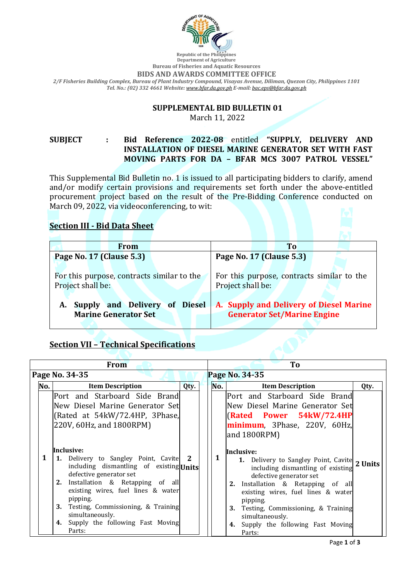

#### **Department of Agriculture Bureau of Fisheries and Aquatic Resources BIDS AND AWARDS COMMITTEE OFFICE** *2/F Fisheries Building Complex, Bureau of Plant Industry Compound, Visayas Avenue, Diliman, Quezon City, Philippines 1101 Tel. No.: (02) 332 4661 Website: [www.bfar.da.gov.ph](http://www.bfar.da.gov.ph/) E-mail: [bac.eps@bfar.da.gov.ph](mailto:bac.eps@bfar.da.gov.ph)*

## **SUPPLEMENTAL BID BULLETIN 01**

March 11, 2022

**SUBJECT : Bid Reference 2022-08** entitled **"SUPPLY, DELIVERY AND INSTALLATION OF DIESEL MARINE GENERATOR SET WITH FAST MOVING PARTS FOR DA – BFAR MCS 3007 PATROL VESSEL"**

This Supplemental Bid Bulletin no. 1 is issued to all participating bidders to clarify, amend and/or modify certain provisions and requirements set forth under the above-entitled procurement project based on the result of the Pre-Bidding Conference conducted on March 09, 2022, via videoconferencing, to wit:

## **Section III - Bid Data Sheet**

| <b>From</b>                                                        | T <sub>o</sub>                                                                |
|--------------------------------------------------------------------|-------------------------------------------------------------------------------|
| Page No. 17 (Clause 5.3)                                           | Page No. 17 (Clause 5.3)                                                      |
| For this purpose, contracts similar to the<br>Project shall be:    | For this purpose, contracts similar to the<br>Project shall be:               |
| Supply and Delivery of Diesel<br>A.<br><b>Marine Generator Set</b> | A. Supply and Delivery of Diesel Marine<br><b>Generator Set/Marine Engine</b> |

# **Section VII – Technical Specifications**

| <b>From</b> |                |                                                                                                                                                                                                                                                                                                                                    |      | To |     |                                                                                                                                                                                                                                                                                                                                           |      |  |
|-------------|----------------|------------------------------------------------------------------------------------------------------------------------------------------------------------------------------------------------------------------------------------------------------------------------------------------------------------------------------------|------|----|-----|-------------------------------------------------------------------------------------------------------------------------------------------------------------------------------------------------------------------------------------------------------------------------------------------------------------------------------------------|------|--|
|             | Page No. 34-35 |                                                                                                                                                                                                                                                                                                                                    |      |    |     | Page No. 34-35                                                                                                                                                                                                                                                                                                                            |      |  |
|             | No.            | <b>Item Description</b>                                                                                                                                                                                                                                                                                                            | Qty. |    | No. | <b>Item Description</b>                                                                                                                                                                                                                                                                                                                   | Qty. |  |
|             |                | Port and Starboard Side Brand<br>New Diesel Marine Generator Set<br>(Rated at 54kW/72.4HP, 3Phase,<br>220V, 60Hz, and 1800RPM)                                                                                                                                                                                                     |      |    |     | Port and Starboard Side Brand<br>New Diesel Marine Generator Set<br><b>(Rated Power 54kW/72.4HP)</b><br>minimum, 3Phase, 220V, 60Hz,<br>and 1800RPM)                                                                                                                                                                                      |      |  |
|             | 1              | Inclusive:<br>1. Delivery to Sangley Point, Cavite 2<br>including dismantling of existing Units<br>defective generator set<br>2. Installation & Retapping of all<br>existing wires, fuel lines & water<br>pipping.<br>3. Testing, Commissioning, & Training<br>simultaneously.<br>Supply the following Fast Moving<br>4.<br>Parts: |      |    | 1   | Inclusive:<br>1. Delivery to Sangley Point, Cavite 2 Units<br>including dismantling of existing<br>defective generator set<br>2. Installation & Retapping of all<br>existing wires, fuel lines & water<br>pipping.<br><b>3.</b> Testing, Commissioning, & Training<br>simultaneously.<br>Supply the following Fast Moving<br>4.<br>Parts: |      |  |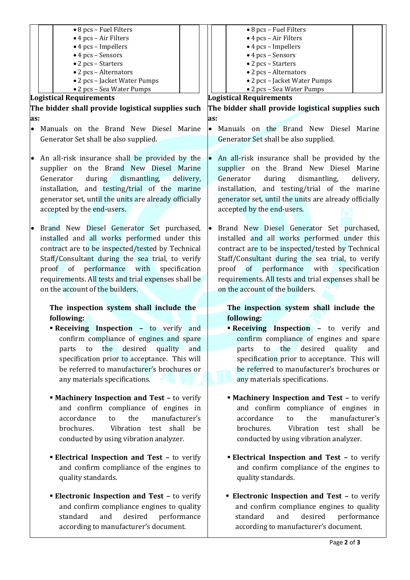|           | • 8 pcs – Fuel Filters                                | • 8 pcs – Fuel Filters                                      |  |  |
|-----------|-------------------------------------------------------|-------------------------------------------------------------|--|--|
|           | • 4 pcs - Air Filters                                 | • 4 pcs - Air Filters                                       |  |  |
|           | $\bullet$ 4 pcs - Impellers                           | $\bullet$ 4 pcs - Impellers                                 |  |  |
|           | • 4 pcs - Sensors                                     | • 4 pcs - Sensors                                           |  |  |
|           | • 2 pcs - Starters                                    | • 2 pcs - Starters                                          |  |  |
|           | • 2 pcs - Alternators                                 | • 2 pcs - Alternators                                       |  |  |
|           | • 2 pcs - Jacket Water Pumps                          | • 2 pcs - Jacket Water Pumps                                |  |  |
|           | • 2 pcs - Sea Water Pumps                             | • 2 pcs - Sea Water Pumps                                   |  |  |
|           | <b>Logistical Requirements</b>                        | <b>Logistical Requirements</b>                              |  |  |
|           | The bidder shall provide logistical supplies such     | The bidder shall provide logistical supplies such           |  |  |
|           |                                                       |                                                             |  |  |
| as:       |                                                       | as:                                                         |  |  |
| $\bullet$ | Manuals on the Brand New Diesel Marine                | Manuals on the Brand New Diesel Marine<br>$\bullet$         |  |  |
|           | Generator Set shall be also supplied.                 | Generator Set shall be also supplied.                       |  |  |
|           |                                                       |                                                             |  |  |
| $\bullet$ | An all-risk insurance shall be provided by the        | An all-risk insurance shall be provided by the<br>$\bullet$ |  |  |
|           | supplier on the Brand New Diesel Marine               | supplier on the Brand New Diesel Marine                     |  |  |
|           |                                                       |                                                             |  |  |
|           | dismantling,<br>Generator<br>during<br>delivery,      | during<br>dismantling,<br>Generator<br>delivery,            |  |  |
|           | installation, and testing/trial of the marine         | installation, and testing/trial of the marine               |  |  |
|           | generator set, until the units are already officially | generator set, until the units are already officially       |  |  |
|           | accepted by the end-users.                            | accepted by the end-users.                                  |  |  |
|           |                                                       |                                                             |  |  |
|           |                                                       |                                                             |  |  |
|           | Brand New Diesel Generator Set purchased,             | Brand New Diesel Generator Set purchased,                   |  |  |
|           | installed and all works performed under this          | installed and all works performed under this                |  |  |
|           | contract are to be inspected/tested by Technical      | contract are to be inspected/tested by Technical            |  |  |
|           | Staff/Consultant during the sea trial, to verify      | Staff/Consultant during the sea trial, to verify            |  |  |
|           | proof of performance with<br>specification            | proof of performance with specification                     |  |  |
|           |                                                       |                                                             |  |  |
|           | requirements. All tests and trial expenses shall be   | requirements. All tests and trial expenses shall be         |  |  |
|           | on the account of the builders.                       | on the account of the builders.                             |  |  |
|           |                                                       |                                                             |  |  |
|           | The inspection system shall include the               | The inspection system shall include the                     |  |  |
|           | following:                                            | following:                                                  |  |  |
|           | <b>Receiving Inspection - to verify and</b>           | <b>Receiving Inspection - to verify and</b>                 |  |  |
|           | confirm compliance of engines and spare               | confirm compliance of engines and spare                     |  |  |
|           |                                                       |                                                             |  |  |
|           | desired<br>quality and<br>the<br>parts<br>to          | to the desired<br>quality<br>parts<br>and                   |  |  |
|           | specification prior to acceptance. This will          | specification prior to acceptance. This will                |  |  |
|           | be referred to manufacturer's brochures or            | be referred to manufacturer's brochures or                  |  |  |
|           |                                                       |                                                             |  |  |
|           |                                                       |                                                             |  |  |
|           | any materials specifications.                         | any materials specifications.                               |  |  |
|           |                                                       |                                                             |  |  |
|           | <b>Machinery Inspection and Test - to verify</b>      | <b>Machinery Inspection and Test - to verify</b>            |  |  |
|           | and confirm compliance of engines in                  | and confirm compliance of engines in                        |  |  |
|           | manufacturer's<br>accordance<br>the<br>to             | manufacturer's<br>accordance<br>the<br>to                   |  |  |
|           | brochures.<br>Vibration<br>shall<br>test<br>be        | brochures.<br>Vibration<br>shall<br>test<br>be              |  |  |
|           | conducted by using vibration analyzer.                | conducted by using vibration analyzer.                      |  |  |
|           |                                                       |                                                             |  |  |
|           |                                                       |                                                             |  |  |
|           | <b>Electrical Inspection and Test - to verify</b>     | <b>Electrical Inspection and Test - to verify</b>           |  |  |
|           | and confirm compliance of the engines to              | and confirm compliance of the engines to                    |  |  |
|           | quality standards.                                    | quality standards.                                          |  |  |
|           |                                                       |                                                             |  |  |
|           | <b>Electronic Inspection and Test - to verify</b>     | <b>Electronic Inspection and Test - to verify</b>           |  |  |
|           | and confirm compliance engines to quality             | and confirm compliance engines to quality                   |  |  |
|           | standard<br>and<br>desired<br>performance             | standard<br>and<br>desired<br>performance                   |  |  |